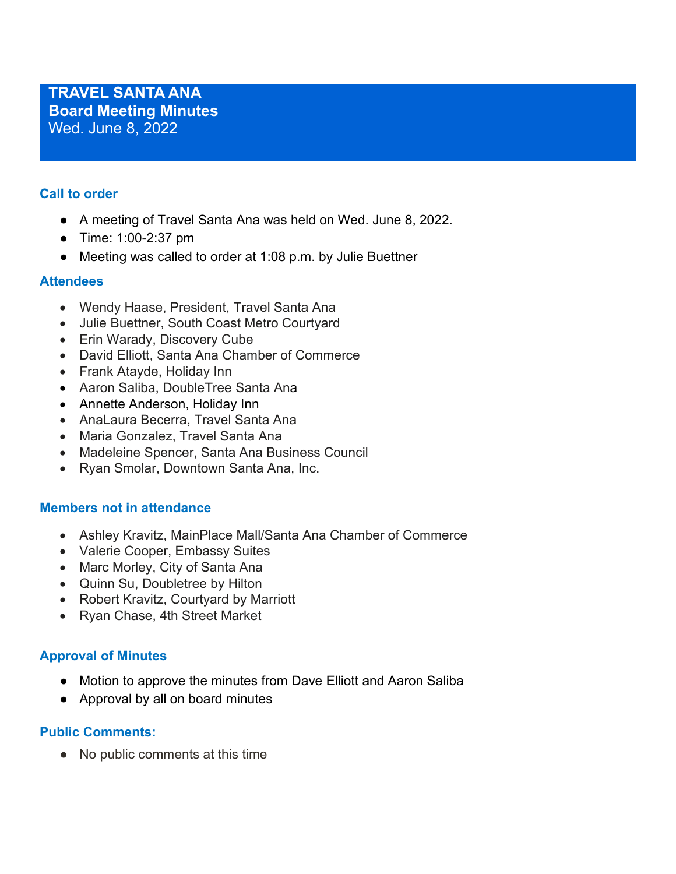## **Call to order**

- A meeting of Travel Santa Ana was held on Wed. June 8, 2022.
- Time: 1:00-2:37 pm
- Meeting was called to order at 1:08 p.m. by Julie Buettner

## **Attendees**

- Wendy Haase, President, Travel Santa Ana
- Julie Buettner, South Coast Metro Courtyard
- Erin Warady, Discovery Cube
- David Elliott, Santa Ana Chamber of Commerce
- Frank Atayde, Holiday Inn
- Aaron Saliba, DoubleTree Santa Ana
- Annette Anderson, Holiday Inn
- AnaLaura Becerra, Travel Santa Ana
- Maria Gonzalez, Travel Santa Ana
- Madeleine Spencer, Santa Ana Business Council
- Ryan Smolar, Downtown Santa Ana, Inc.

## **Members not in attendance**

- Ashley Kravitz, MainPlace Mall/Santa Ana Chamber of Commerce
- Valerie Cooper, Embassy Suites
- Marc Morley, City of Santa Ana
- Quinn Su, Doubletree by Hilton
- Robert Kravitz, Courtyard by Marriott
- Ryan Chase, 4th Street Market

# **Approval of Minutes**

- Motion to approve the minutes from Dave Elliott and Aaron Saliba
- Approval by all on board minutes

## **Public Comments:**

● No public comments at this time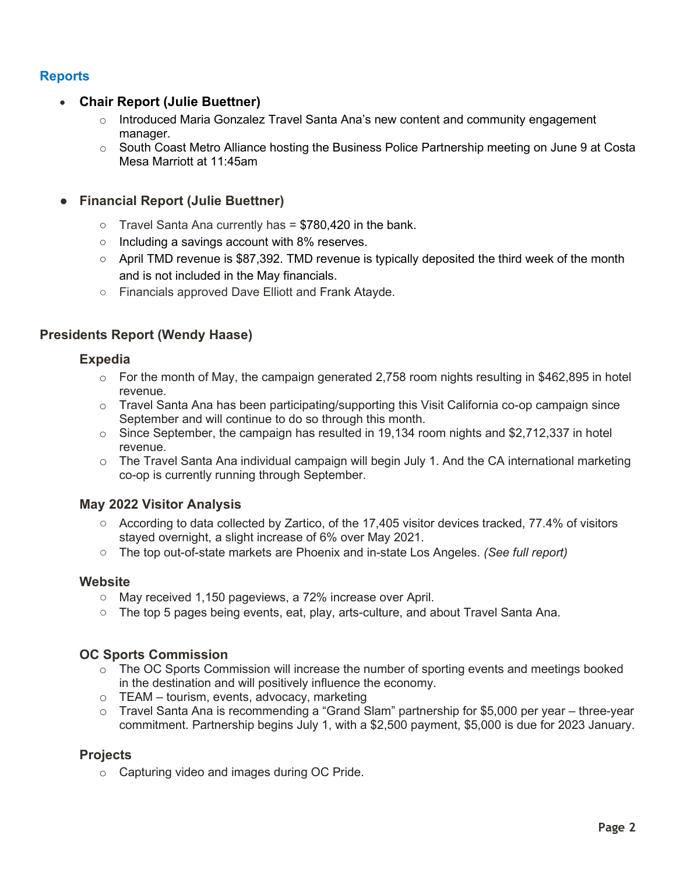# **Reports**

## • **Chair Report (Julie Buettner)**

- $\circ$  Introduced Maria Gonzalez Travel Santa Ana's new content and community engagement manager.
- $\circ$  South Coast Metro Alliance hosting the Business Police Partnership meeting on June 9 at Costa Mesa Marriott at 11:45am

## ● **Financial Report (Julie Buettner)**

- $\circ$  Travel Santa Ana currently has = \$780,420 in the bank.
- Including a savings account with 8% reserves.
- $\circ$  April TMD revenue is \$87,392. TMD revenue is typically deposited the third week of the month and is not included in the May financials.
- Financials approved Dave Elliott and Frank Atayde.

## **Presidents Report (Wendy Haase)**

#### **Expedia**

- $\circ$  For the month of May, the campaign generated 2,758 room nights resulting in \$462,895 in hotel revenue.
- $\circ$  Travel Santa Ana has been participating/supporting this Visit California co-op campaign since September and will continue to do so through this month.
- $\circ$  Since September, the campaign has resulted in 19,134 room nights and \$2,712,337 in hotel revenue.
- o The Travel Santa Ana individual campaign will begin July 1. And the CA international marketing co-op is currently running through September.

## **May 2022 Visitor Analysis**

- According to data collected by Zartico, of the 17,405 visitor devices tracked, 77.4% of visitors stayed overnight, a slight increase of 6% over May 2021.
- The top out-of-state markets are Phoenix and in-state Los Angeles. *(See full report)*

## **Website**

- May received 1,150 pageviews, a 72% increase over April.
- The top 5 pages being events, eat, play, arts-culture, and about Travel Santa Ana.

## **OC Sports Commission**

- o The OC Sports Commission will increase the number of sporting events and meetings booked in the destination and will positively influence the economy.
- o TEAM tourism, events, advocacy, marketing
- o Travel Santa Ana is recommending a "Grand Slam" partnership for \$5,000 per year three-year commitment. Partnership begins July 1, with a \$2,500 payment, \$5,000 is due for 2023 January.

## **Projects**

o Capturing video and images during OC Pride.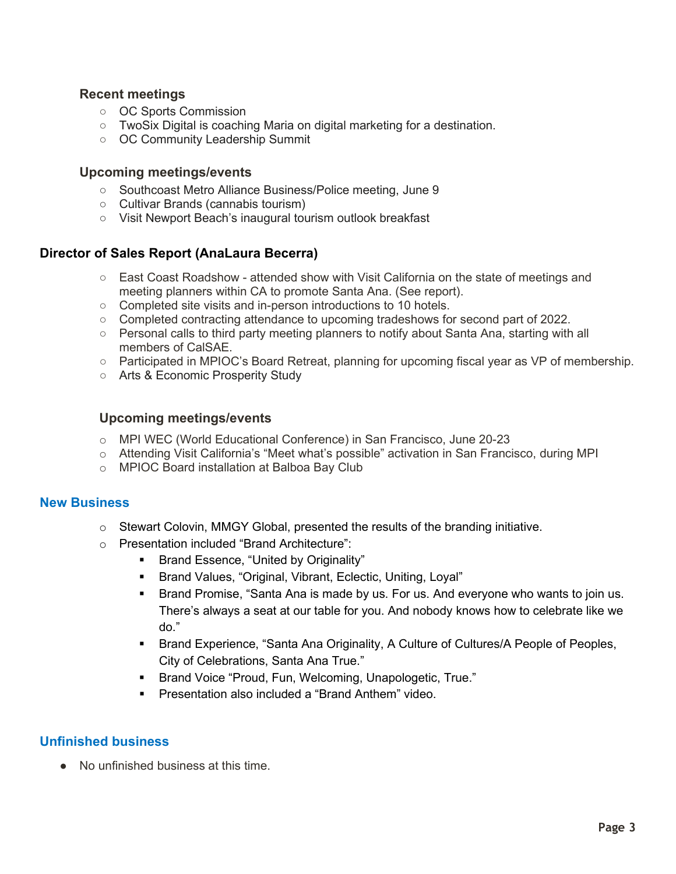#### **Recent meetings**

- OC Sports Commission
- TwoSix Digital is coaching Maria on digital marketing for a destination.
- OC Community Leadership Summit

#### **Upcoming meetings/events**

- Southcoast Metro Alliance Business/Police meeting, June 9
- Cultivar Brands (cannabis tourism)
- Visit Newport Beach's inaugural tourism outlook breakfast

#### **Director of Sales Report (AnaLaura Becerra)**

- East Coast Roadshow attended show with Visit California on the state of meetings and meeting planners within CA to promote Santa Ana. (See report).
- Completed site visits and in-person introductions to 10 hotels.
- Completed contracting attendance to upcoming tradeshows for second part of 2022.
- Personal calls to third party meeting planners to notify about Santa Ana, starting with all members of CalSAE.
- Participated in MPIOC's Board Retreat, planning for upcoming fiscal year as VP of membership.
- Arts & Economic Prosperity Study

#### **Upcoming meetings/events**

- o MPI WEC (World Educational Conference) in San Francisco, June 20-23
- o Attending Visit California's "Meet what's possible" activation in San Francisco, during MPI
- o MPIOC Board installation at Balboa Bay Club

#### **New Business**

- $\circ$  Stewart Colovin, MMGY Global, presented the results of the branding initiative.
- o Presentation included "Brand Architecture":
	- **Brand Essence, "United by Originality"**
	- **Brand Values, "Original, Vibrant, Eclectic, Uniting, Loyal"**
	- **Brand Promise, "Santa Ana is made by us. For us. And everyone who wants to join us.** There's always a seat at our table for you. And nobody knows how to celebrate like we do."
	- Brand Experience, "Santa Ana Originality, A Culture of Cultures/A People of Peoples, City of Celebrations, Santa Ana True."
	- **Brand Voice "Proud, Fun, Welcoming, Unapologetic, True."**
	- **Presentation also included a "Brand Anthem" video.**

## **Unfinished business**

● No unfinished business at this time.